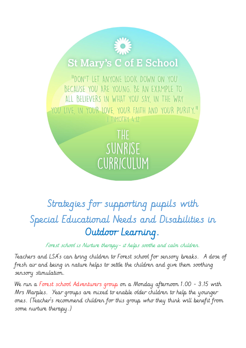## **St Mary's C of E School**

"DON'T LET ANYONE LOOK DOWN ON YOU BECAUSE YOU ARE YOUNG. BE AN EXAMPLE TO ALL BELIEVERS IN WHAT YOU SAY, IN THE WAY YOU LIVE, IN YOUR LOVE, YOUR FAITH AND YOUR PURITY." I TIMOTHY 4:12

> THE SUNRISE CURRICULUM

## Strategies for supporting pupils with Special Educational Needs and Disabilities in Outdoor Learning.

Forest school is Nurture therapy - it helps soothe and calm children.

Teachers and LSA's can bring children to Forest school for sensory breaks. A dose of fresh air and being in nature helps to settle the children and give them soothing sensory stimulation.

We run a Forest school Adventurers group on a Monday afternoon 1.00 - 3.15 with Mrs Marples. Year groups are mixed to enable older children to help the younger ones. (Teacher's recommend children for this group who they think will benefit from some nurture therapy.)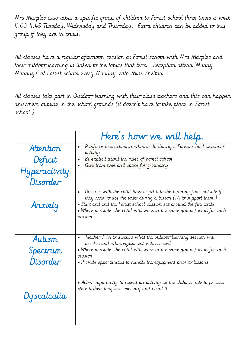Mrs Marples also takes a specific group of children to Forest school three times a week 11.00-11.45 Tuesday, Wednesday and Thursday. Extra children can be added to this group if they are in crisis.

All classes have a regular afternoon session at Forest school with Mrs Marples and their outdoor learning is linked to the topics that term. Reception attend 'Muddy Mondays' at Forest school every Monday with Miss Shelton.

All classes take part in Outdoor learning with their class teachers and this can happen anywhere outside in the school grounds (it doesn't have to take place in Forest school.)

|               | Here's how we will help.                                                                                                                                                                                                                                                                                                               |
|---------------|----------------------------------------------------------------------------------------------------------------------------------------------------------------------------------------------------------------------------------------------------------------------------------------------------------------------------------------|
| Attention     | Reinforce instruction in what to do during a Forest school session /<br>$\bullet$                                                                                                                                                                                                                                                      |
| Deficit       | activity<br>Be explicit about the rules of Forest school<br>Give them time and space for grounding                                                                                                                                                                                                                                     |
| Hyperactivity |                                                                                                                                                                                                                                                                                                                                        |
| Disorder      |                                                                                                                                                                                                                                                                                                                                        |
| Anxiety       | Discuss with the child how to get into the building from outside if<br>$\bullet$<br>they need to use the toilet during a lesson (TA to support them.)<br>• Start and end the Forest school session sat around the fire circle.<br>$\bullet$ Where possible, the child will work in the same group / team for each $\bullet$<br>session |
| Autism        | Teacher / TA to discuss what the outdoor learning session will<br>involve and what equipment will be used                                                                                                                                                                                                                              |
| Spectrum      | $\bullet$ Where possible, the child will work in the same group / team for each                                                                                                                                                                                                                                                        |
| Disorder      | session<br>• Provide opportunities to handle the equipment prior to lessons                                                                                                                                                                                                                                                            |
|               |                                                                                                                                                                                                                                                                                                                                        |
| Dyscalculia   | • Allow opportunity to repeat an activity so the child is able to process,<br>store it their long term memory and recall it                                                                                                                                                                                                            |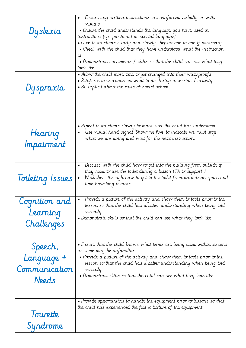| Dyslexia                                        | Ensure any written instructions are reinforced verbally or with<br>$\bullet$<br>visuals<br>$\bullet$ Ensure the child understands the language you have used in<br>instructions (eg: positional or special language)<br>• Give instructions clearly and slowly. Repeat one to one if necessary<br>$\bullet$ Check with the child that they have understood what the instruction<br>i s<br>• Demonstrate movements / skills so that the child can see what they<br>look like |
|-------------------------------------------------|-----------------------------------------------------------------------------------------------------------------------------------------------------------------------------------------------------------------------------------------------------------------------------------------------------------------------------------------------------------------------------------------------------------------------------------------------------------------------------|
| Dyspraxia                                       | • Allow the child more time to get changed into their waterproofs.<br>$\bullet$ Reinforce instructions on what to do during a session / activity<br>• Be explicit about the rules of Forest school.                                                                                                                                                                                                                                                                         |
| Hearing<br>Impairment                           | $\bullet$ Repeat instructions slowly to make sure the child has understood.<br>Use visual hand signal 'Show me five' to indicate we must stop<br>what we are doing and wait for the next instruction.                                                                                                                                                                                                                                                                       |
| Toileting Issues                                | Discuss with the child how to get into the building from outside if<br>they need to use the toilet during a lesson (TA to support.)<br>Walk them through how to get to the toilet from an outside space and<br>time how long it takes                                                                                                                                                                                                                                       |
| Cognition and<br>Learning<br>Challenges         | Provide a picture of the activity and show them to tools prior to the<br>lesson so that the child has a better understanding when being told<br>verbally<br>$\bullet$ Demonstrate skills so that the child can see what they look like                                                                                                                                                                                                                                      |
| Speech,<br>Language +<br>Communication<br>Needs | • Ensure that the child knows what terms are being used within lessons<br>as some may be unfamiliar<br>$\bullet$ Provide a picture of the activity and show them to tools prior to the<br>lesson so that the child has a better understanding when being told<br>verbally<br>$\bullet$ Demonstrate skills so that the child can see what they look like                                                                                                                     |
| Tourette<br>Syndrome                            | $\bullet$ Provide opportunities to handle the equipment prior to lessons so that<br>the child has experienced the feel $\alpha$ texture of the equipment                                                                                                                                                                                                                                                                                                                    |